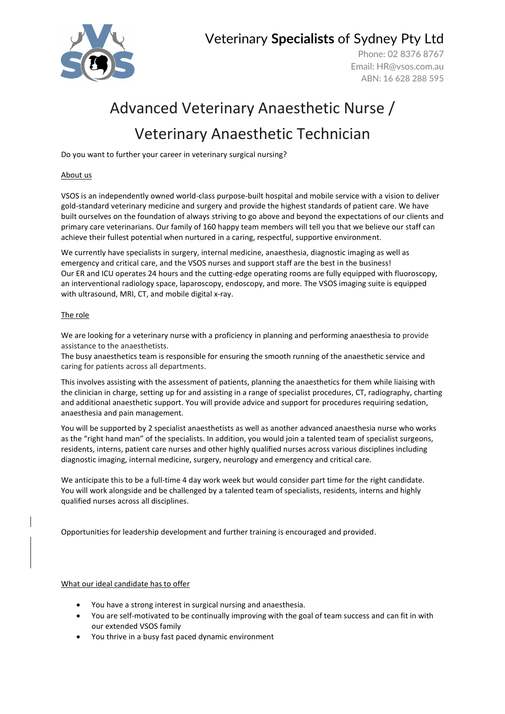

Veterinary **Specialists** of Sydney Pty Ltd

Phone: 02 8376 8767 Email: [HR@vsos.com.au](mailto:HR@vsos.com.au) ABN: 16 628 288 595

# Advanced Veterinary Anaesthetic Nurse / Veterinary Anaesthetic Technician

Do you want to further your career in veterinary surgical nursing?

### About us

VSOS is an independently owned world-class purpose-built hospital and mobile service with a vision to deliver gold-standard veterinary medicine and surgery and provide the highest standards of patient care. We have built ourselves on the foundation of always striving to go above and beyond the expectations of our clients and primary care veterinarians. Our family of 160 happy team members will tell you that we believe our staff can achieve their fullest potential when nurtured in a caring, respectful, supportive environment.

We currently have specialists in surgery, internal medicine, anaesthesia, diagnostic imaging as well as emergency and critical care, and the VSOS nurses and support staff are the best in the business! Our ER and ICU operates 24 hours and the cutting-edge operating rooms are fully equipped with fluoroscopy, an interventional radiology space, laparoscopy, endoscopy, and more. The VSOS imaging suite is equipped with ultrasound, MRI, CT, and mobile digital x-ray.

### The role

We are looking for a veterinary nurse with a proficiency in planning and performing anaesthesia to provide assistance to the anaesthetists.

The busy anaesthetics team is responsible for ensuring the smooth running of the anaesthetic service and caring for patients across all departments.

This involves assisting with the assessment of patients, planning the anaesthetics for them while liaising with the clinician in charge, setting up for and assisting in a range of specialist procedures, CT, radiography, charting and additional anaesthetic support. You will provide advice and support for procedures requiring sedation, anaesthesia and pain management.

You will be supported by 2 specialist anaesthetists as well as another advanced anaesthesia nurse who works as the "right hand man" of the specialists. In addition, you would join a talented team of specialist surgeons, residents, interns, patient care nurses and other highly qualified nurses across various disciplines including diagnostic imaging, internal medicine, surgery, neurology and emergency and critical care.

We anticipate this to be a full-time 4 day work week but would consider part time for the right candidate. You will work alongside and be challenged by a talented team of specialists, residents, interns and highly qualified nurses across all disciplines.

Opportunities for leadership development and further training is encouraged and provided.

#### What our ideal candidate has to offer

- You have a strong interest in surgical nursing and anaesthesia.
- You are self-motivated to be continually improving with the goal of team success and can fit in with our extended VSOS family
- You thrive in a busy fast paced dynamic environment